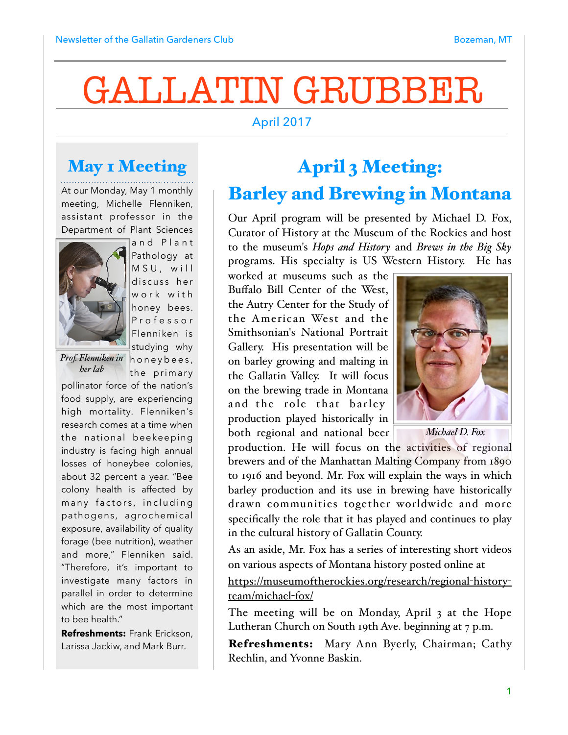# GALLATIN GRUBBER

#### April 2017

### May **1 Meeting**

At our Monday, May 1 monthly meeting, Michelle Flenniken, assistant professor in the Department of Plant Sciences



and Plant Pathology at MSU, will discuss her w ork with honey bees. P r o f e s s o r Flenniken is studying why

*her lab*

*Prof. Flenniken in* honeybees, the primary

pollinator force of the nation's food supply, are experiencing high mortality. Flenniken's research comes at a time when the national beekeeping industry is facing high annual losses of honeybee colonies, about 32 percent a year. "Bee colony health is affected by many factors, including pathogens, agrochemical exposure, availability of quality forage (bee nutrition), weather and more," Flenniken said. "Therefore, it's important to investigate many factors in parallel in order to determine which are the most important to bee health."

**Refreshments:** Frank Erickson, Larissa Jackiw, and Mark Burr.

## April 3 Meeting: Barley and Brewing in Montana

Our April program will be presented by Michael D. Fox, Curator of History at the Museum of the Rockies and host to the museum's *Hops and History* and *Brews in the Big Sky* programs. His specialty is US Western History. He has

worked at museums such as the Buffalo Bill Center of the West, the Autry Center for the Study of the American West and the Smithsonian's National Portrait Gallery. His presentation will be on barley growing and malting in the Gallatin Valley. It will focus on the brewing trade in Montana and the role that barley production played historically in both regional and national beer



*Michael D. Fox*

production. He will focus on the activities of regional brewers and of the Manhattan Malting Company from 1890 to 1916 and beyond. Mr. Fox will explain the ways in which barley production and its use in brewing have historically drawn communities together worldwide and more specifically the role that it has played and continues to play in the cultural history of Gallatin County.

As an aside, Mr. Fox has a series of interesting short videos on various aspects of Montana history posted online at

[https://museumoftherockies.org/research/regional](https://museumoftherockies.org/research/regional-history-team/michael-fox/)-history[team/michael](https://museumoftherockies.org/research/regional-history-team/michael-fox/)-fox/

The meeting will be on Monday, April 3 at the Hope Lutheran Church on South 19th Ave. beginning at 7 p.m.

Refreshments: Mary Ann Byerly, Chairman; Cathy Rechlin, and Yvonne Baskin.